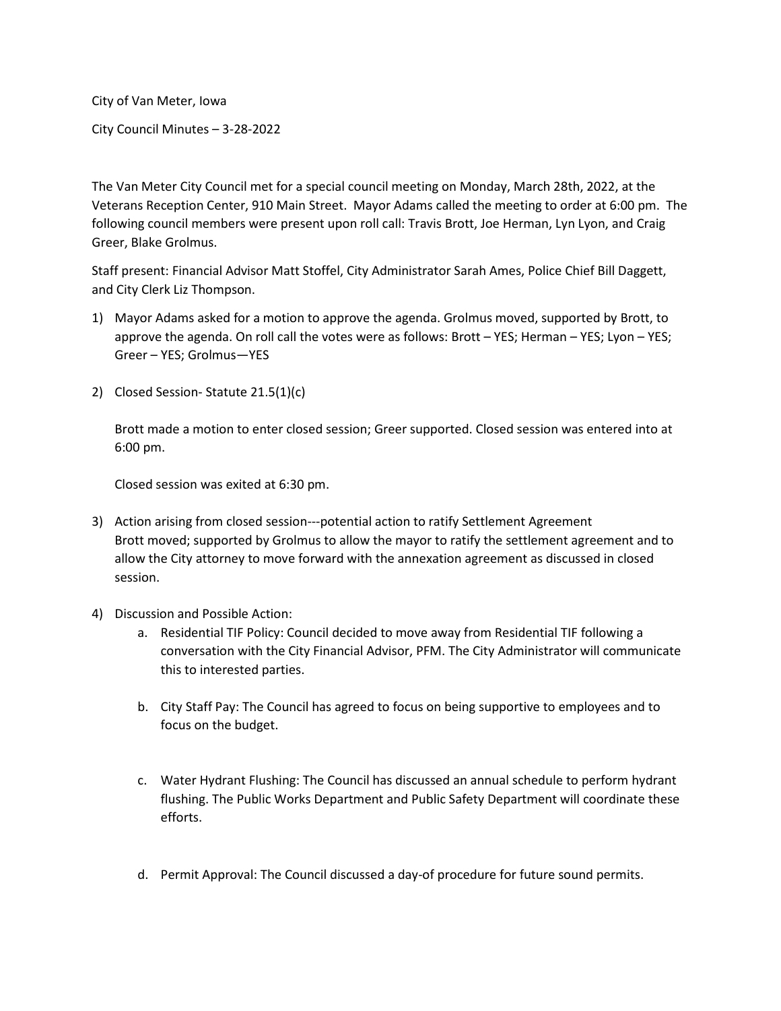City of Van Meter, Iowa

City Council Minutes – 3-28-2022

The Van Meter City Council met for a special council meeting on Monday, March 28th, 2022, at the Veterans Reception Center, 910 Main Street. Mayor Adams called the meeting to order at 6:00 pm. The following council members were present upon roll call: Travis Brott, Joe Herman, Lyn Lyon, and Craig Greer, Blake Grolmus.

Staff present: Financial Advisor Matt Stoffel, City Administrator Sarah Ames, Police Chief Bill Daggett, and City Clerk Liz Thompson.

- 1) Mayor Adams asked for a motion to approve the agenda. Grolmus moved, supported by Brott, to approve the agenda. On roll call the votes were as follows: Brott – YES; Herman – YES; Lyon – YES; Greer – YES; Grolmus—YES
- 2) Closed Session- Statute 21.5(1)(c)

Brott made a motion to enter closed session; Greer supported. Closed session was entered into at 6:00 pm.

Closed session was exited at 6:30 pm.

- 3) Action arising from closed session---potential action to ratify Settlement Agreement Brott moved; supported by Grolmus to allow the mayor to ratify the settlement agreement and to allow the City attorney to move forward with the annexation agreement as discussed in closed session.
- 4) Discussion and Possible Action:
	- a. Residential TIF Policy: Council decided to move away from Residential TIF following a conversation with the City Financial Advisor, PFM. The City Administrator will communicate this to interested parties.
	- b. City Staff Pay: The Council has agreed to focus on being supportive to employees and to focus on the budget.
	- c. Water Hydrant Flushing: The Council has discussed an annual schedule to perform hydrant flushing. The Public Works Department and Public Safety Department will coordinate these efforts.
	- d. Permit Approval: The Council discussed a day-of procedure for future sound permits.